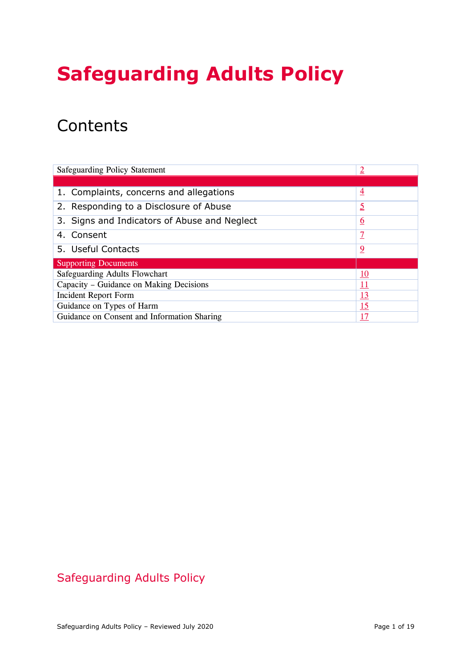# **Safeguarding Adults Policy**

## **Contents**

| <b>Safeguarding Policy Statement</b>         | $\overline{2}$ |
|----------------------------------------------|----------------|
|                                              |                |
| 1. Complaints, concerns and allegations      | $\overline{4}$ |
| 2. Responding to a Disclosure of Abuse       | <u>5</u>       |
| 3. Signs and Indicators of Abuse and Neglect | <u>6</u>       |
| 4. Consent                                   |                |
| 5. Useful Contacts                           | $\overline{2}$ |
| <b>Supporting Documents</b>                  |                |
| Safeguarding Adults Flowchart                | 10             |
| Capacity – Guidance on Making Decisions      | <u> 11</u>     |
| <b>Incident Report Form</b>                  | <u> 13</u>     |
| Guidance on Types of Harm                    | <u> 15</u>     |
| Guidance on Consent and Information Sharing  | <u> 17</u>     |

## Safeguarding Adults Policy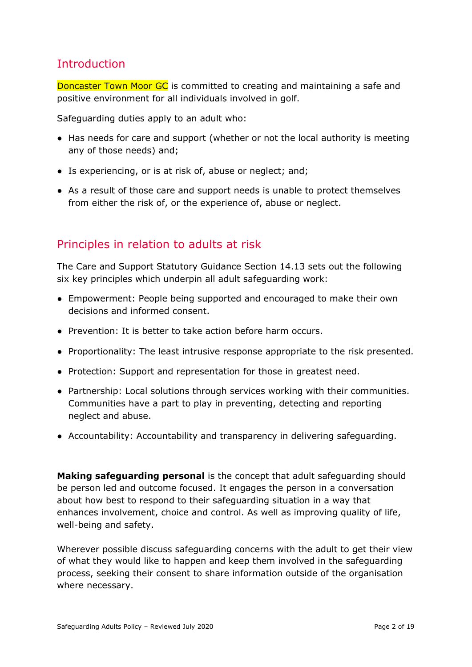## <span id="page-1-0"></span>**Introduction**

Doncaster Town Moor GC is committed to creating and maintaining a safe and positive environment for all individuals involved in golf.

Safeguarding duties apply to an adult who:

- Has needs for care and support (whether or not the local authority is meeting any of those needs) and;
- Is experiencing, or is at risk of, abuse or neglect; and;
- As a result of those care and support needs is unable to protect themselves from either the risk of, or the experience of, abuse or neglect.

## Principles in relation to adults at risk

The Care and Support Statutory Guidance Section 14.13 sets out the following six key principles which underpin all adult safeguarding work:

- Empowerment: People being supported and encouraged to make their own decisions and informed consent.
- Prevention: It is better to take action before harm occurs.
- Proportionality: The least intrusive response appropriate to the risk presented.
- Protection: Support and representation for those in greatest need.
- **●** Partnership: Local solutions through services working with their communities. Communities have a part to play in preventing, detecting and reporting neglect and abuse.
- Accountability: Accountability and transparency in delivering safeguarding.

**Making safeguarding personal** is the concept that adult safeguarding should be person led and outcome focused. It engages the person in a conversation about how best to respond to their safeguarding situation in a way that enhances involvement, choice and control. As well as improving quality of life, well-being and safety.

Wherever possible discuss safeguarding concerns with the adult to get their view of what they would like to happen and keep them involved in the safeguarding process, seeking their consent to share information outside of the organisation where necessary.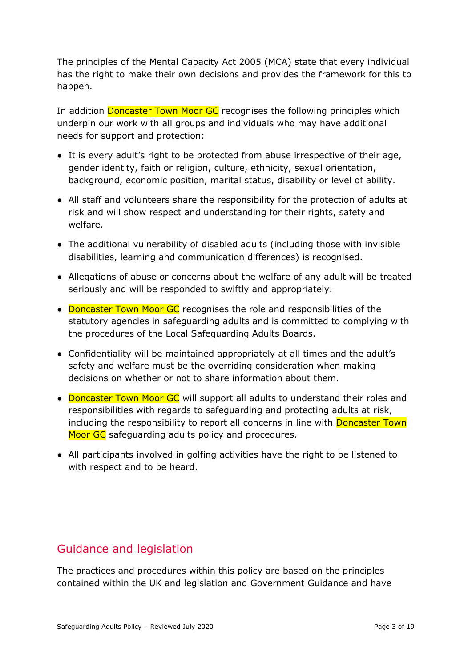The principles of the Mental Capacity Act 2005 (MCA) state that every individual has the right to make their own decisions and provides the framework for this to happen.

In addition Doncaster Town Moor GC recognises the following principles which underpin our work with all groups and individuals who may have additional needs for support and protection:

- It is every adult's right to be protected from abuse irrespective of their age, gender identity, faith or religion, culture, ethnicity, sexual orientation, background, economic position, marital status, disability or level of ability.
- All staff and volunteers share the responsibility for the protection of adults at risk and will show respect and understanding for their rights, safety and welfare.
- The additional vulnerability of disabled adults (including those with invisible disabilities, learning and communication differences) is recognised.
- Allegations of abuse or concerns about the welfare of any adult will be treated seriously and will be responded to swiftly and appropriately.
- Doncaster Town Moor GC recognises the role and responsibilities of the statutory agencies in safeguarding adults and is committed to complying with the procedures of the Local Safeguarding Adults Boards.
- Confidentiality will be maintained appropriately at all times and the adult's safety and welfare must be the overriding consideration when making decisions on whether or not to share information about them.
- Doncaster Town Moor GC will support all adults to understand their roles and responsibilities with regards to safeguarding and protecting adults at risk, including the responsibility to report all concerns in line with **Doncaster Town** Moor GC safeguarding adults policy and procedures.
- All participants involved in golfing activities have the right to be listened to with respect and to be heard.

## Guidance and legislation

The practices and procedures within this policy are based on the principles contained within the UK and legislation and Government Guidance and have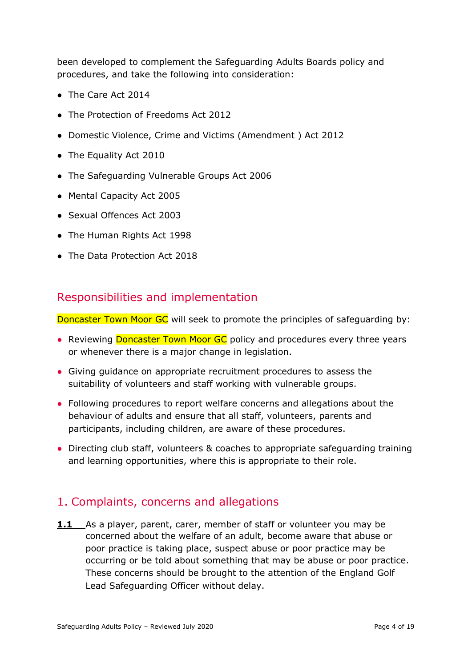been developed to complement the Safeguarding Adults Boards policy and procedures, and take the following into consideration:

- The Care Act 2014
- The Protection of Freedoms Act 2012
- Domestic Violence, Crime and Victims (Amendment ) Act 2012
- The Equality Act 2010
- The Safeguarding Vulnerable Groups Act 2006
- Mental Capacity Act 2005
- Sexual Offences Act 2003
- The Human Rights Act 1998
- The Data Protection Act 2018

#### Responsibilities and implementation

Doncaster Town Moor GC will seek to promote the principles of safeguarding by:

- Reviewing **Doncaster Town Moor GC** policy and procedures every three years or whenever there is a major change in legislation.
- Giving guidance on appropriate recruitment procedures to assess the suitability of volunteers and staff working with vulnerable groups.
- Following procedures to report welfare concerns and allegations about the behaviour of adults and ensure that all staff, volunteers, parents and participants, including children, are aware of these procedures.
- Directing club staff, volunteers & coaches to appropriate safeguarding training and learning opportunities, where this is appropriate to their role.

## <span id="page-3-0"></span>1. Complaints, concerns and allegations

**1.1** As a player, parent, carer, member of staff or volunteer you may be concerned about the welfare of an adult, become aware that abuse or poor practice is taking place, suspect abuse or poor practice may be occurring or be told about something that may be abuse or poor practice. These concerns should be brought to the attention of the England Golf Lead Safeguarding Officer without delay.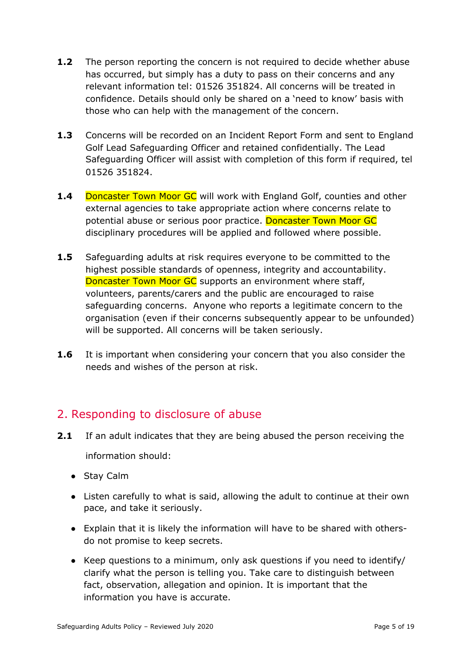- **1.2** The person reporting the concern is not required to decide whether abuse has occurred, but simply has a duty to pass on their concerns and any relevant information tel: 01526 351824. All concerns will be treated in confidence. Details should only be shared on a 'need to know' basis with those who can help with the management of the concern.
- **1.3** Concerns will be recorded on an Incident Report Form and sent to England Golf Lead Safeguarding Officer and retained confidentially. The Lead Safeguarding Officer will assist with completion of this form if required, tel 01526 351824.
- **1.4** Doncaster Town Moor GC will work with England Golf, counties and other external agencies to take appropriate action where concerns relate to potential abuse or serious poor practice. Doncaster Town Moor GC disciplinary procedures will be applied and followed where possible.
- **1.5** Safeguarding adults at risk requires everyone to be committed to the highest possible standards of openness, integrity and accountability. Doncaster Town Moor GC supports an environment where staff, volunteers, parents/carers and the public are encouraged to raise safeguarding concerns. Anyone who reports a legitimate concern to the organisation (even if their concerns subsequently appear to be unfounded) will be supported. All concerns will be taken seriously.
- **1.6** It is important when considering your concern that you also consider the needs and wishes of the person at risk.

## <span id="page-4-0"></span>2. Responding to disclosure of abuse

**2.1** If an adult indicates that they are being abused the person receiving the

information should:

- Stay Calm
- Listen carefully to what is said, allowing the adult to continue at their own pace, and take it seriously.
- Explain that it is likely the information will have to be shared with othersdo not promise to keep secrets.
- Keep questions to a minimum, only ask questions if you need to identify/ clarify what the person is telling you. Take care to distinguish between fact, observation, allegation and opinion. It is important that the information you have is accurate.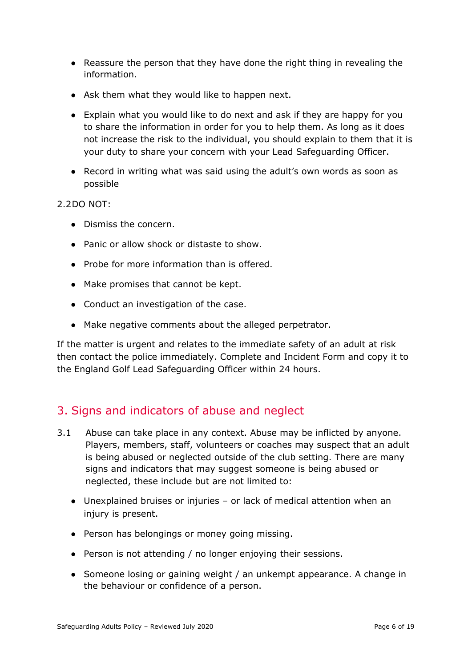- Reassure the person that they have done the right thing in revealing the information.
- Ask them what they would like to happen next.
- Explain what you would like to do next and ask if they are happy for you to share the information in order for you to help them. As long as it does not increase the risk to the individual, you should explain to them that it is your duty to share your concern with your Lead Safeguarding Officer.
- Record in writing what was said using the adult's own words as soon as possible

2.2DO NOT:

- Dismiss the concern.
- Panic or allow shock or distaste to show.
- Probe for more information than is offered.
- Make promises that cannot be kept.
- **●** Conduct an investigation of the case.
- Make negative comments about the alleged perpetrator.

If the matter is urgent and relates to the immediate safety of an adult at risk then contact the police immediately. Complete and Incident Form and copy it to the England Golf Lead Safeguarding Officer within 24 hours.

## <span id="page-5-0"></span>3. Signs and indicators of abuse and neglect

- 3.1 Abuse can take place in any context. Abuse may be inflicted by anyone. Players, members, staff, volunteers or coaches may suspect that an adult is being abused or neglected outside of the club setting. There are many signs and indicators that may suggest someone is being abused or neglected, these include but are not limited to:
	- Unexplained bruises or injuries or lack of medical attention when an injury is present.
	- Person has belongings or money going missing.
	- Person is not attending / no longer enjoying their sessions.
	- Someone losing or gaining weight / an unkempt appearance. A change in the behaviour or confidence of a person.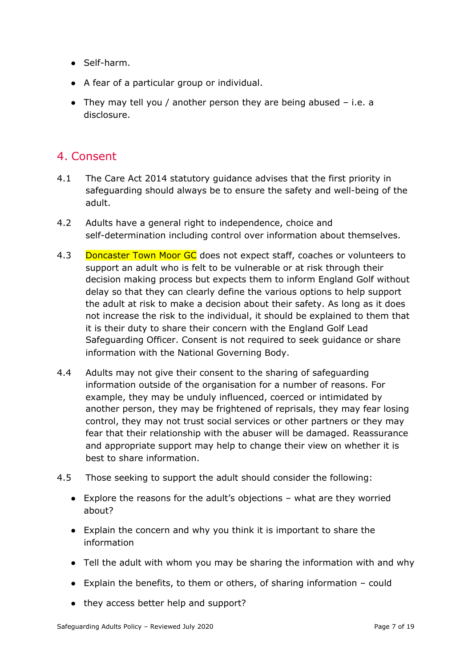- Self-harm.
- A fear of a particular group or individual.
- They may tell you / another person they are being abused  $-$  i.e. a disclosure.

### <span id="page-6-0"></span>4. Consent

- 4.1 The Care Act 2014 statutory guidance advises that the first priority in safeguarding should always be to ensure the safety and well-being of the adult.
- 4.2 Adults have a general right to independence, choice and self-determination including control over information about themselves.
- 4.3 Doncaster Town Moor GC does not expect staff, coaches or volunteers to support an adult who is felt to be vulnerable or at risk through their decision making process but expects them to inform England Golf without delay so that they can clearly define the various options to help support the adult at risk to make a decision about their safety. As long as it does not increase the risk to the individual, it should be explained to them that it is their duty to share their concern with the England Golf Lead Safeguarding Officer. Consent is not required to seek guidance or share information with the National Governing Body.
- 4.4 Adults may not give their consent to the sharing of safeguarding information outside of the organisation for a number of reasons. For example, they may be unduly influenced, coerced or intimidated by another person, they may be frightened of reprisals, they may fear losing control, they may not trust social services or other partners or they may fear that their relationship with the abuser will be damaged. Reassurance and appropriate support may help to change their view on whether it is best to share information.
- 4.5 Those seeking to support the adult should consider the following:
	- $\bullet$  Explore the reasons for the adult's objections what are they worried about?
	- Explain the concern and why you think it is important to share the information
	- Tell the adult with whom you may be sharing the information with and why
	- $\bullet$  Explain the benefits, to them or others, of sharing information could
	- they access better help and support?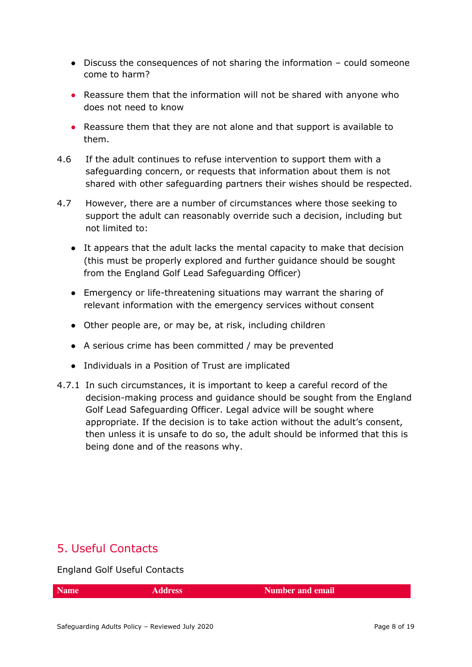- Discuss the consequences of not sharing the information could someone come to harm?
- Reassure them that the information will not be shared with anyone who does not need to know
- Reassure them that they are not alone and that support is available to them.
- 4.6 If the adult continues to refuse intervention to support them with a safeguarding concern, or requests that information about them is not shared with other safeguarding partners their wishes should be respected.
- 4.7 However, there are a number of circumstances where those seeking to support the adult can reasonably override such a decision, including but not limited to:
	- It appears that the adult lacks the mental capacity to make that decision (this must be properly explored and further guidance should be sought from the England Golf Lead Safeguarding Officer)
	- Emergency or life-threatening situations may warrant the sharing of relevant information with the emergency services without consent
	- Other people are, or may be, at risk, including children
	- A serious crime has been committed / may be prevented
	- Individuals in a Position of Trust are implicated
- 4.7.1 In such circumstances, it is important to keep a careful record of the decision-making process and guidance should be sought from the England Golf Lead Safeguarding Officer. Legal advice will be sought where appropriate. If the decision is to take action without the adult's consent, then unless it is unsafe to do so, the adult should be informed that this is being done and of the reasons why.

## <span id="page-7-0"></span>5. Useful Contacts

England Golf Useful Contacts

**Name Address Number and email**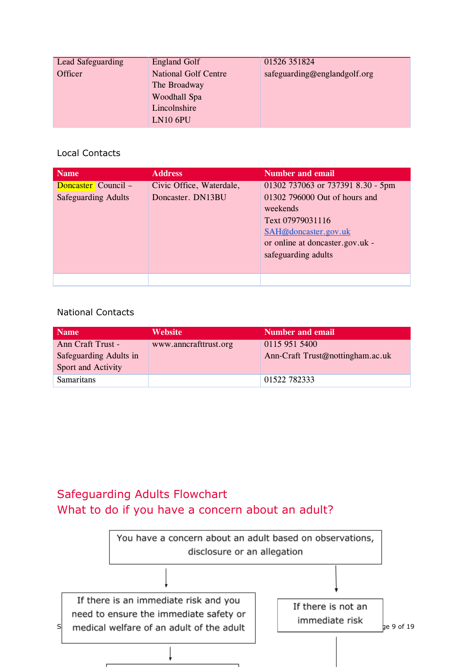| Lead Safeguarding | <b>England Golf</b>         | 01526 351824                 |
|-------------------|-----------------------------|------------------------------|
| Officer           | <b>National Golf Centre</b> | safeguarding@englandgolf.org |
|                   | The Broadway                |                              |
|                   | Woodhall Spa                |                              |
|                   | Lincolnshire                |                              |
|                   | <b>LN10 6PU</b>             |                              |

#### Local Contacts

| <b>Name</b>                                       | <b>Address</b>                                | <b>Number and email</b>                                                                                                                                                              |
|---------------------------------------------------|-----------------------------------------------|--------------------------------------------------------------------------------------------------------------------------------------------------------------------------------------|
| Doncaster Council –<br><b>Safeguarding Adults</b> | Civic Office, Waterdale,<br>Doncaster. DN13BU | 01302 737063 or 737391 8.30 - 5pm<br>01302 796000 Out of hours and<br>weekends<br>Text 07979031116<br>SAH@doncaster.gov.uk<br>or online at doncaster.gov.uk -<br>safeguarding adults |
|                                                   |                                               |                                                                                                                                                                                      |

#### National Contacts

| <b>Name</b>                                  | <b>Website</b>        | Number and email                 |
|----------------------------------------------|-----------------------|----------------------------------|
| Ann Craft Trust -                            | www.anncrafttrust.org | 0115 951 5400                    |
| Safeguarding Adults in<br>Sport and Activity |                       | Ann-Craft Trust@nottingham.ac.uk |
| <b>Samaritans</b>                            |                       | 01522 782333                     |

## <span id="page-8-0"></span>Safeguarding Adults Flowchart What to do if you have a concern about an adult?

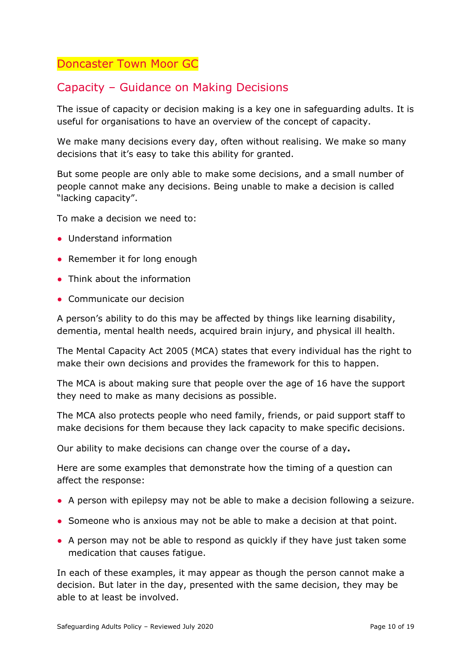## <span id="page-9-0"></span>Doncaster Town Moor GC

## Capacity – Guidance on Making Decisions

The issue of capacity or decision making is a key one in safeguarding adults. It is useful for organisations to have an overview of the concept of capacity.

We make many decisions every day, often without realising. We make so many decisions that it's easy to take this ability for granted.

But some people are only able to make some decisions, and a small number of people cannot make any decisions. Being unable to make a decision is called "lacking capacity".

To make a decision we need to:

- Understand information
- Remember it for long enough
- Think about the information
- Communicate our decision

A person's ability to do this may be affected by things like learning disability, dementia, mental health needs, acquired brain injury, and physical ill health.

The Mental Capacity Act 2005 (MCA) states that every individual has the right to make their own decisions and provides the framework for this to happen.

The MCA is about making sure that people over the age of 16 have the support they need to make as many decisions as possible.

The MCA also protects people who need family, friends, or paid support staff to make decisions for them because they lack capacity to make specific decisions.

Our ability to make decisions can change over the course of a day**.**

Here are some examples that demonstrate how the timing of a question can affect the response:

- A person with epilepsy may not be able to make a decision following a seizure.
- Someone who is anxious may not be able to make a decision at that point.
- A person may not be able to respond as quickly if they have just taken some medication that causes fatigue.

In each of these examples, it may appear as though the person cannot make a decision. But later in the day, presented with the same decision, they may be able to at least be involved.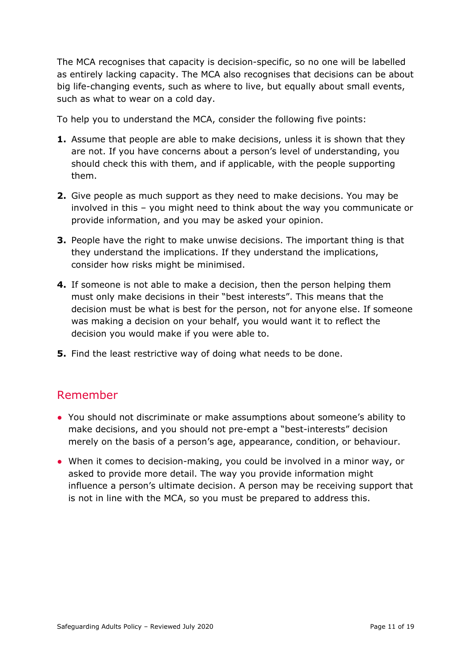The MCA recognises that capacity is decision-specific, so no one will be labelled as entirely lacking capacity. The MCA also recognises that decisions can be about big life-changing events, such as where to live, but equally about small events, such as what to wear on a cold day.

To help you to understand the MCA, consider the following five points:

- **1.** Assume that people are able to make decisions, unless it is shown that they are not. If you have concerns about a person's level of understanding, you should check this with them, and if applicable, with the people supporting them.
- **2.** Give people as much support as they need to make decisions. You may be involved in this – you might need to think about the way you communicate or provide information, and you may be asked your opinion.
- **3.** People have the right to make unwise decisions. The important thing is that they understand the implications. If they understand the implications, consider how risks might be minimised.
- **4.** If someone is not able to make a decision, then the person helping them must only make decisions in their "best interests". This means that the decision must be what is best for the person, not for anyone else. If someone was making a decision on your behalf, you would want it to reflect the decision you would make if you were able to.
- **5.** Find the least restrictive way of doing what needs to be done.

## Remember

- You should not discriminate or make assumptions about someone's ability to make decisions, and you should not pre-empt a "best-interests" decision merely on the basis of a person's age, appearance, condition, or behaviour.
- When it comes to decision-making, you could be involved in a minor way, or asked to provide more detail. The way you provide information might influence a person's ultimate decision. A person may be receiving support that is not in line with the MCA, so you must be prepared to address this.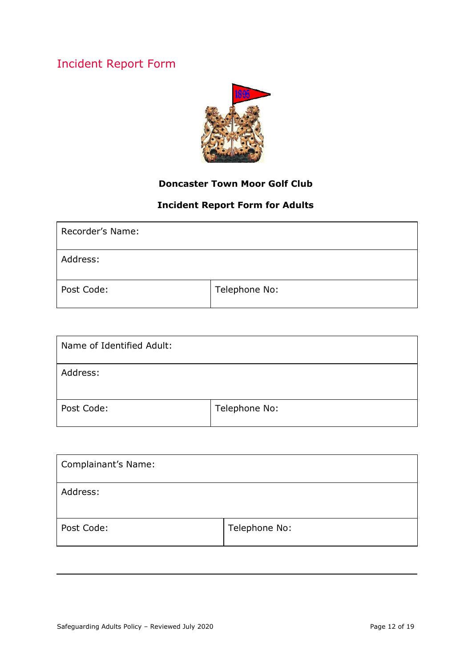## <span id="page-11-0"></span>Incident Report Form



#### **Doncaster Town Moor Golf Club**

#### **Incident Report Form for Adults**

| Recorder's Name: |               |
|------------------|---------------|
| Address:         |               |
| Post Code:       | Telephone No: |

| Name of Identified Adult: |               |
|---------------------------|---------------|
| Address:                  |               |
| Post Code:                | Telephone No: |

| Complainant's Name: |               |
|---------------------|---------------|
| Address:            |               |
| Post Code:          | Telephone No: |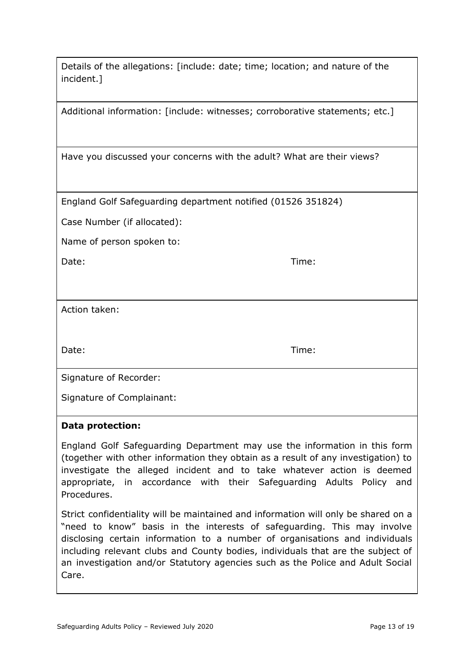| Details of the allegations: [include: date; time; location; and nature of the |  |
|-------------------------------------------------------------------------------|--|
| incident.]                                                                    |  |

Additional information: [include: witnesses; corroborative statements; etc.]

Have you discussed your concerns with the adult? What are their views?

England Golf Safeguarding department notified (01526 351824)

Case Number (if allocated):

Name of person spoken to:

Date: Time:

Action taken:

Date: Time:

Signature of Recorder:

Signature of Complainant:

#### **Data protection:**

England Golf Safeguarding Department may use the information in this form (together with other information they obtain as a result of any investigation) to investigate the alleged incident and to take whatever action is deemed appropriate, in accordance with their Safeguarding Adults Policy and Procedures.

Strict confidentiality will be maintained and information will only be shared on a "need to know" basis in the interests of safeguarding. This may involve disclosing certain information to a number of organisations and individuals including relevant clubs and County bodies, individuals that are the subject of an investigation and/or Statutory agencies such as the Police and Adult Social Care.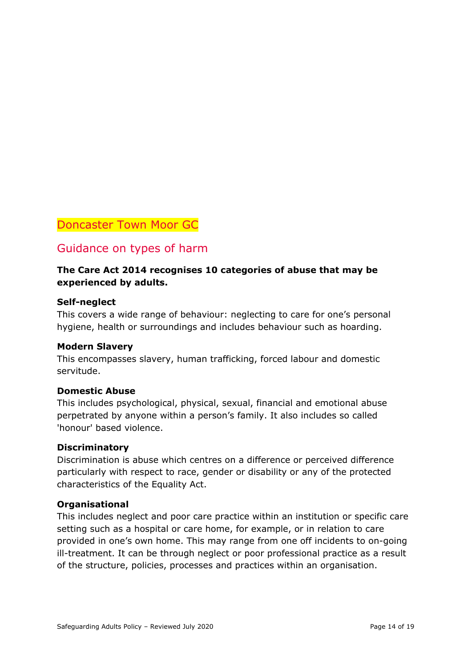#### <span id="page-13-0"></span>Doncaster Town Moor GC

#### Guidance on types of harm

#### **The Care Act 2014 recognises 10 categories of abuse that may be experienced by adults.**

#### **Self-neglect**

This covers a wide range of behaviour: neglecting to care for one's personal hygiene, health or surroundings and includes behaviour such as hoarding.

#### **Modern Slavery**

This encompasses slavery, human trafficking, forced labour and domestic servitude.

#### **Domestic Abuse**

This includes psychological, physical, sexual, financial and emotional abuse perpetrated by anyone within a person's family. It also includes so called 'honour' based violence.

#### **Discriminatory**

Discrimination is abuse which centres on a difference or perceived difference particularly with respect to race, gender or disability or any of the protected characteristics of the Equality Act.

#### **Organisational**

This includes neglect and poor care practice within an institution or specific care setting such as a hospital or care home, for example, or in relation to care provided in one's own home. This may range from one off incidents to on-going ill-treatment. It can be through neglect or poor professional practice as a result of the structure, policies, processes and practices within an organisation.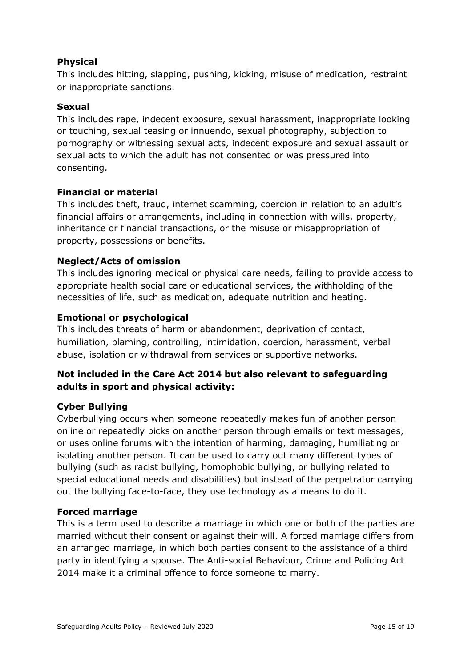#### **Physical**

This includes hitting, slapping, pushing, kicking, misuse of medication, restraint or inappropriate sanctions.

#### **Sexual**

This includes rape, indecent exposure, sexual harassment, inappropriate looking or touching, sexual teasing or innuendo, sexual photography, subjection to pornography or witnessing sexual acts, indecent exposure and sexual assault or sexual acts to which the adult has not consented or was pressured into consenting.

#### **Financial or material**

This includes theft, fraud, internet scamming, coercion in relation to an adult's financial affairs or arrangements, including in connection with wills, property, inheritance or financial transactions, or the misuse or misappropriation of property, possessions or benefits.

#### **Neglect/Acts of omission**

This includes ignoring medical or physical care needs, failing to provide access to appropriate health social care or educational services, the withholding of the necessities of life, such as medication, adequate nutrition and heating.

#### **Emotional or psychological**

This includes threats of harm or abandonment, deprivation of contact, humiliation, blaming, controlling, intimidation, coercion, harassment, verbal abuse, isolation or withdrawal from services or supportive networks.

#### **Not included in the Care Act 2014 but also relevant to safeguarding adults in sport and physical activity:**

#### **Cyber Bullying**

Cyberbullying occurs when someone repeatedly makes fun of another person online or repeatedly picks on another person through emails or text messages, or uses online forums with the intention of harming, damaging, humiliating or isolating another person. It can be used to carry out many different types of bullying (such as racist bullying, homophobic bullying, or bullying related to special educational needs and disabilities) but instead of the perpetrator carrying out the bullying face-to-face, they use technology as a means to do it.

#### **Forced marriage**

This is a term used to describe a marriage in which one or both of the parties are married without their consent or against their will. A forced marriage differs from an arranged marriage, in which both parties consent to the assistance of a third party in identifying a spouse. The Anti-social Behaviour, Crime and Policing Act 2014 make it a criminal offence to force someone to marry.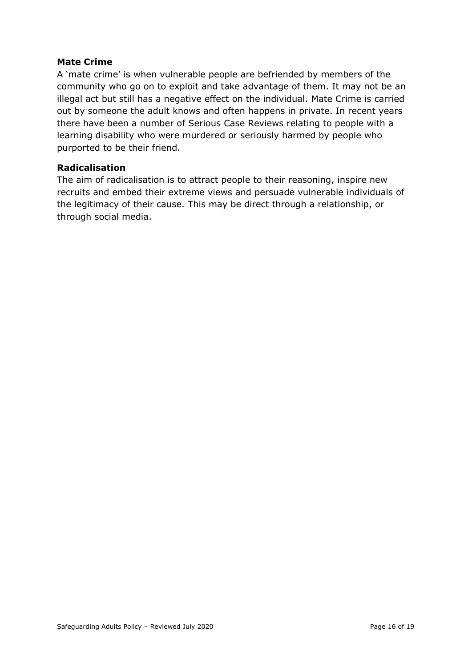#### **Mate Crime**

A 'mate crime' is when vulnerable people are befriended by members of the community who go on to exploit and take advantage of them. It may not be an illegal act but still has a negative effect on the individual. Mate Crime is carried out by someone the adult knows and often happens in private. In recent years there have been a number of Serious Case Reviews relating to people with a learning disability who were murdered or seriously harmed by people who purported to be their friend.

#### **Radicalisation**

The aim of radicalisation is to attract people to their reasoning, inspire new recruits and embed their extreme views and persuade vulnerable individuals of the legitimacy of their cause. This may be direct through a relationship, or through social media.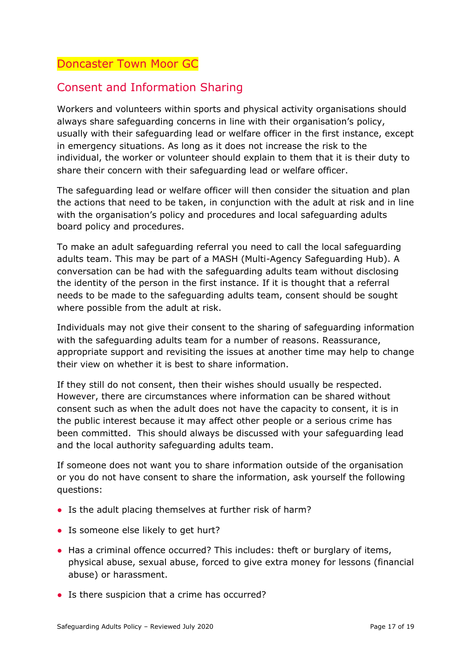## <span id="page-16-0"></span>Doncaster Town Moor GC

## Consent and Information Sharing

Workers and volunteers within sports and physical activity organisations should always share safeguarding concerns in line with their organisation's policy, usually with their safeguarding lead or welfare officer in the first instance, except in emergency situations. As long as it does not increase the risk to the individual, the worker or volunteer should explain to them that it is their duty to share their concern with their safeguarding lead or welfare officer.

The safeguarding lead or welfare officer will then consider the situation and plan the actions that need to be taken, in conjunction with the adult at risk and in line with the organisation's policy and procedures and local safeguarding adults board policy and procedures.

To make an adult safeguarding referral you need to call the local safeguarding adults team. This may be part of a MASH (Multi*-*Agency Safeguarding Hub). A conversation can be had with the safeguarding adults team without disclosing the identity of the person in the first instance. If it is thought that a referral needs to be made to the safeguarding adults team, consent should be sought where possible from the adult at risk.

Individuals may not give their consent to the sharing of safeguarding information with the safeguarding adults team for a number of reasons. Reassurance, appropriate support and revisiting the issues at another time may help to change their view on whether it is best to share information.

If they still do not consent, then their wishes should usually be respected. However, there are circumstances where information can be shared without consent such as when the adult does not have the capacity to consent, it is in the public interest because it may affect other people or a serious crime has been committed. This should always be discussed with your safeguarding lead and the local authority safeguarding adults team.

If someone does not want you to share information outside of the organisation or you do not have consent to share the information, ask yourself the following questions:

- Is the adult placing themselves at further risk of harm?
- Is someone else likely to get hurt?
- Has a criminal offence occurred? This includes: theft or burglary of items, physical abuse, sexual abuse, forced to give extra money for lessons (financial abuse) or harassment.
- Is there suspicion that a crime has occurred?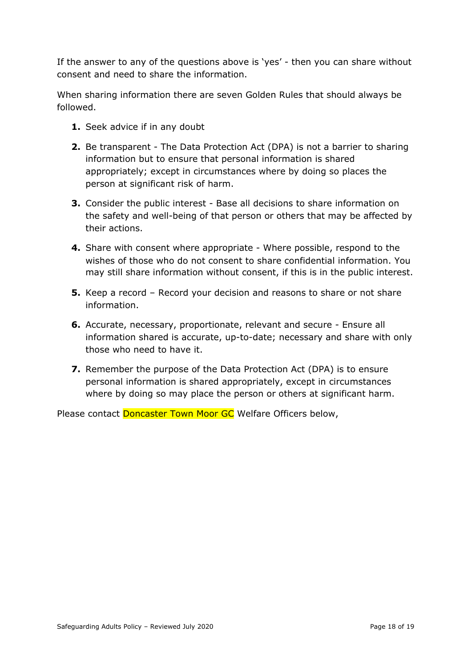If the answer to any of the questions above is 'yes' - then you can share without consent and need to share the information.

When sharing information there are seven Golden Rules that should always be followed.

- **1.** Seek advice if in any doubt
- **2.** Be transparent The Data Protection Act (DPA) is not a barrier to sharing information but to ensure that personal information is shared appropriately; except in circumstances where by doing so places the person at significant risk of harm.
- **3.** Consider the public interest Base all decisions to share information on the safety and well-being of that person or others that may be affected by their actions.
- **4.** Share with consent where appropriate Where possible, respond to the wishes of those who do not consent to share confidential information. You may still share information without consent, if this is in the public interest.
- **5.** Keep a record Record your decision and reasons to share or not share information.
- **6.** Accurate, necessary, proportionate, relevant and secure Ensure all information shared is accurate, up-to-date; necessary and share with only those who need to have it.
- **7.** Remember the purpose of the Data Protection Act (DPA) is to ensure personal information is shared appropriately, except in circumstances where by doing so may place the person or others at significant harm.

Please contact Doncaster Town Moor GC Welfare Officers below,